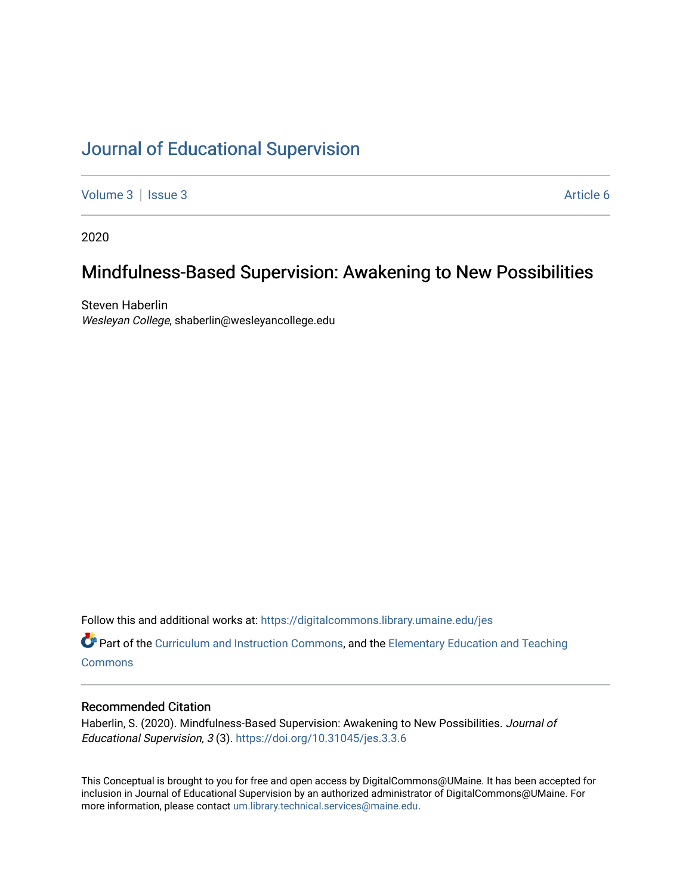# [Journal of Educational Supervision](https://digitalcommons.library.umaine.edu/jes)

[Volume 3](https://digitalcommons.library.umaine.edu/jes/vol3) | [Issue 3](https://digitalcommons.library.umaine.edu/jes/vol3/iss3) Article 6

2020

# Mindfulness-Based Supervision: Awakening to New Possibilities

Steven Haberlin Wesleyan College, shaberlin@wesleyancollege.edu

Follow this and additional works at: [https://digitalcommons.library.umaine.edu/jes](https://digitalcommons.library.umaine.edu/jes?utm_source=digitalcommons.library.umaine.edu%2Fjes%2Fvol3%2Fiss3%2F6&utm_medium=PDF&utm_campaign=PDFCoverPages)

**C** Part of the [Curriculum and Instruction Commons,](http://network.bepress.com/hgg/discipline/786?utm_source=digitalcommons.library.umaine.edu%2Fjes%2Fvol3%2Fiss3%2F6&utm_medium=PDF&utm_campaign=PDFCoverPages) and the Elementary Education and Teaching **[Commons](http://network.bepress.com/hgg/discipline/805?utm_source=digitalcommons.library.umaine.edu%2Fjes%2Fvol3%2Fiss3%2F6&utm_medium=PDF&utm_campaign=PDFCoverPages)** 

#### Recommended Citation

Haberlin, S. (2020). Mindfulness-Based Supervision: Awakening to New Possibilities. Journal of Educational Supervision, 3 (3). <https://doi.org/10.31045/jes.3.3.6>

This Conceptual is brought to you for free and open access by DigitalCommons@UMaine. It has been accepted for inclusion in Journal of Educational Supervision by an authorized administrator of DigitalCommons@UMaine. For more information, please contact [um.library.technical.services@maine.edu](mailto:um.library.technical.services@maine.edu).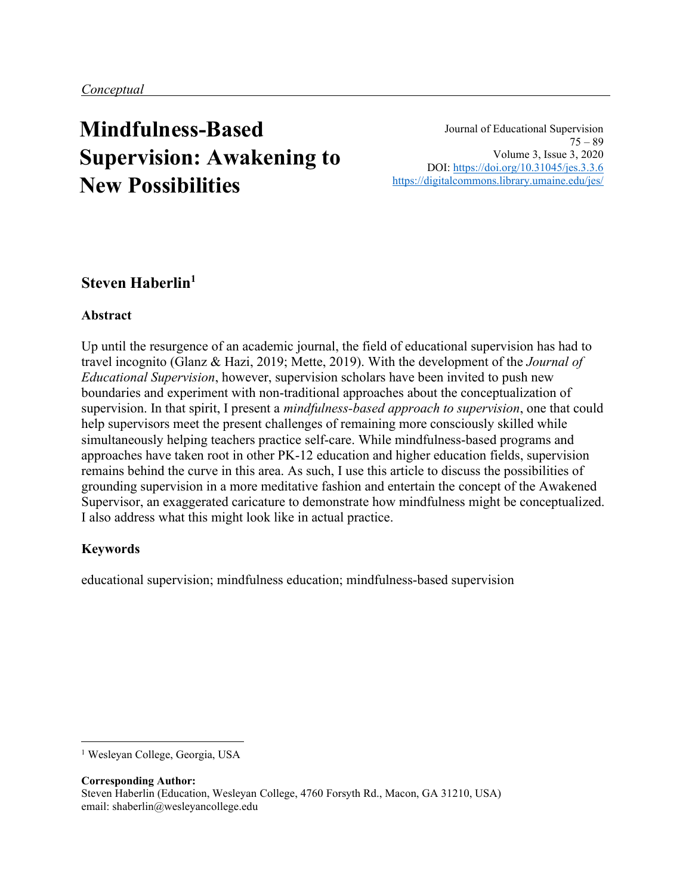# **Mindfulness-Based Supervision: Awakening to New Possibilities**

Journal of Educational Supervision  $75 - 89$ Volume 3, Issue 3, 2020 DOI:<https://doi.org/10.31045/jes.3.3.6> <https://digitalcommons.library.umaine.edu/jes/>

## **Steven Haberlin<sup>1</sup>**

## **Abstract**

Up until the resurgence of an academic journal, the field of educational supervision has had to travel incognito (Glanz & Hazi, 2019; Mette, 2019). With the development of the *Journal of Educational Supervision*, however, supervision scholars have been invited to push new boundaries and experiment with non-traditional approaches about the conceptualization of supervision. In that spirit, I present a *mindfulness-based approach to supervision*, one that could help supervisors meet the present challenges of remaining more consciously skilled while simultaneously helping teachers practice self-care. While mindfulness-based programs and approaches have taken root in other PK-12 education and higher education fields, supervision remains behind the curve in this area. As such, I use this article to discuss the possibilities of grounding supervision in a more meditative fashion and entertain the concept of the Awakened Supervisor, an exaggerated caricature to demonstrate how mindfulness might be conceptualized. I also address what this might look like in actual practice.

## **Keywords**

educational supervision; mindfulness education; mindfulness-based supervision

**Corresponding Author:** Steven Haberlin (Education, Wesleyan College, 4760 Forsyth Rd., Macon, GA 31210, USA) email: shaberlin@wesleyancollege.edu

<sup>&</sup>lt;sup>1</sup> Wesleyan College, Georgia, USA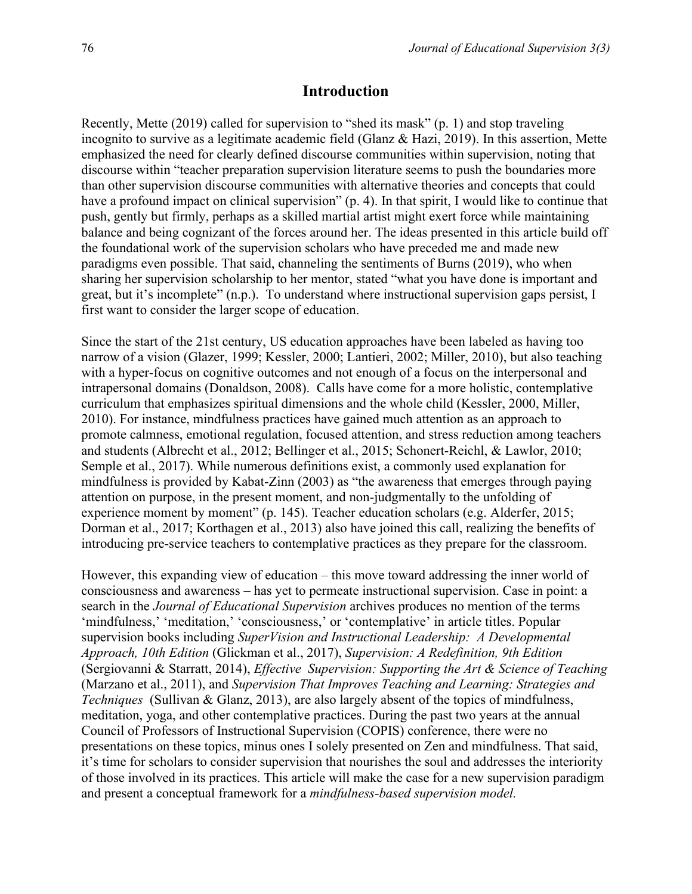#### **Introduction**

Recently, Mette (2019) called for supervision to "shed its mask" (p. 1) and stop traveling incognito to survive as a legitimate academic field (Glanz & Hazi, 2019). In this assertion, Mette emphasized the need for clearly defined discourse communities within supervision, noting that discourse within "teacher preparation supervision literature seems to push the boundaries more than other supervision discourse communities with alternative theories and concepts that could have a profound impact on clinical supervision" (p. 4). In that spirit, I would like to continue that push, gently but firmly, perhaps as a skilled martial artist might exert force while maintaining balance and being cognizant of the forces around her. The ideas presented in this article build off the foundational work of the supervision scholars who have preceded me and made new paradigms even possible. That said, channeling the sentiments of Burns (2019), who when sharing her supervision scholarship to her mentor, stated "what you have done is important and great, but it's incomplete" (n.p.). To understand where instructional supervision gaps persist, I first want to consider the larger scope of education.

Since the start of the 21st century, US education approaches have been labeled as having too narrow of a vision (Glazer, 1999; Kessler, 2000; Lantieri, 2002; Miller, 2010), but also teaching with a hyper-focus on cognitive outcomes and not enough of a focus on the interpersonal and intrapersonal domains (Donaldson, 2008). Calls have come for a more holistic, contemplative curriculum that emphasizes spiritual dimensions and the whole child (Kessler, 2000, Miller, 2010). For instance, mindfulness practices have gained much attention as an approach to promote calmness, emotional regulation, focused attention, and stress reduction among teachers and students (Albrecht et al., 2012; Bellinger et al., 2015; Schonert-Reichl, & Lawlor, 2010; Semple et al., 2017). While numerous definitions exist, a commonly used explanation for mindfulness is provided by Kabat-Zinn (2003) as "the awareness that emerges through paying attention on purpose, in the present moment, and non-judgmentally to the unfolding of experience moment by moment" (p. 145). Teacher education scholars (e.g. Alderfer, 2015; Dorman et al., 2017; Korthagen et al., 2013) also have joined this call, realizing the benefits of introducing pre-service teachers to contemplative practices as they prepare for the classroom.

However, this expanding view of education – this move toward addressing the inner world of consciousness and awareness – has yet to permeate instructional supervision. Case in point: a search in the *Journal of Educational Supervision* archives produces no mention of the terms 'mindfulness,' 'meditation,' 'consciousness,' or 'contemplative' in article titles. Popular supervision books including *SuperVision and Instructional Leadership: A Developmental Approach, 10th Edition* (Glickman et al., 2017), *Supervision: A Redefinition, 9th Edition* (Sergiovanni & Starratt, 2014), *Effective Supervision: Supporting the Art & Science of Teaching* (Marzano et al., 2011), and *Supervision That Improves Teaching and Learning: Strategies and Techniques* (Sullivan & Glanz, 2013), are also largely absent of the topics of mindfulness, meditation, yoga, and other contemplative practices. During the past two years at the annual Council of Professors of Instructional Supervision (COPIS) conference, there were no presentations on these topics, minus ones I solely presented on Zen and mindfulness. That said, it's time for scholars to consider supervision that nourishes the soul and addresses the interiority of those involved in its practices. This article will make the case for a new supervision paradigm and present a conceptual framework for a *mindfulness-based supervision model.*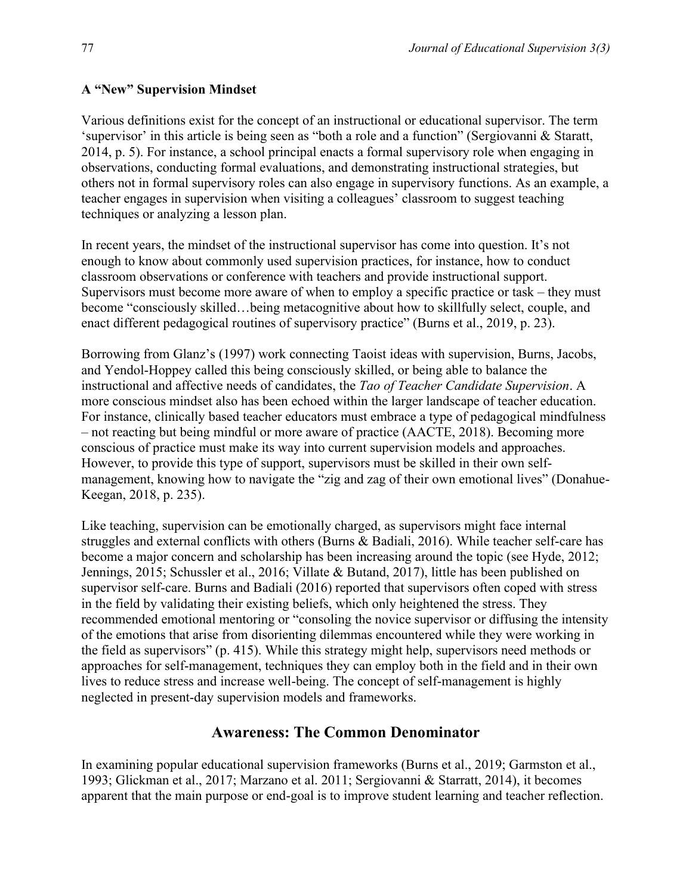Various definitions exist for the concept of an instructional or educational supervisor. The term 'supervisor' in this article is being seen as "both a role and a function" (Sergiovanni & Staratt, 2014, p. 5). For instance, a school principal enacts a formal supervisory role when engaging in observations, conducting formal evaluations, and demonstrating instructional strategies, but others not in formal supervisory roles can also engage in supervisory functions. As an example, a teacher engages in supervision when visiting a colleagues' classroom to suggest teaching techniques or analyzing a lesson plan.

In recent years, the mindset of the instructional supervisor has come into question. It's not enough to know about commonly used supervision practices, for instance, how to conduct classroom observations or conference with teachers and provide instructional support. Supervisors must become more aware of when to employ a specific practice or task – they must become "consciously skilled…being metacognitive about how to skillfully select, couple, and enact different pedagogical routines of supervisory practice" (Burns et al., 2019, p. 23).

Borrowing from Glanz's (1997) work connecting Taoist ideas with supervision, Burns, Jacobs, and Yendol-Hoppey called this being consciously skilled, or being able to balance the instructional and affective needs of candidates, the *Tao of Teacher Candidate Supervision*. A more conscious mindset also has been echoed within the larger landscape of teacher education. For instance, clinically based teacher educators must embrace a type of pedagogical mindfulness – not reacting but being mindful or more aware of practice (AACTE, 2018). Becoming more conscious of practice must make its way into current supervision models and approaches. However, to provide this type of support, supervisors must be skilled in their own selfmanagement, knowing how to navigate the "zig and zag of their own emotional lives" (Donahue-Keegan, 2018, p. 235).

Like teaching, supervision can be emotionally charged, as supervisors might face internal struggles and external conflicts with others (Burns & Badiali, 2016). While teacher self-care has become a major concern and scholarship has been increasing around the topic (see Hyde, 2012; Jennings, 2015; Schussler et al., 2016; Villate & Butand, 2017), little has been published on supervisor self-care. Burns and Badiali (2016) reported that supervisors often coped with stress in the field by validating their existing beliefs, which only heightened the stress. They recommended emotional mentoring or "consoling the novice supervisor or diffusing the intensity of the emotions that arise from disorienting dilemmas encountered while they were working in the field as supervisors" (p. 415). While this strategy might help, supervisors need methods or approaches for self-management, techniques they can employ both in the field and in their own lives to reduce stress and increase well-being. The concept of self-management is highly neglected in present-day supervision models and frameworks.

## **Awareness: The Common Denominator**

In examining popular educational supervision frameworks (Burns et al., 2019; Garmston et al., 1993; Glickman et al., 2017; Marzano et al. 2011; Sergiovanni & Starratt, 2014), it becomes apparent that the main purpose or end-goal is to improve student learning and teacher reflection.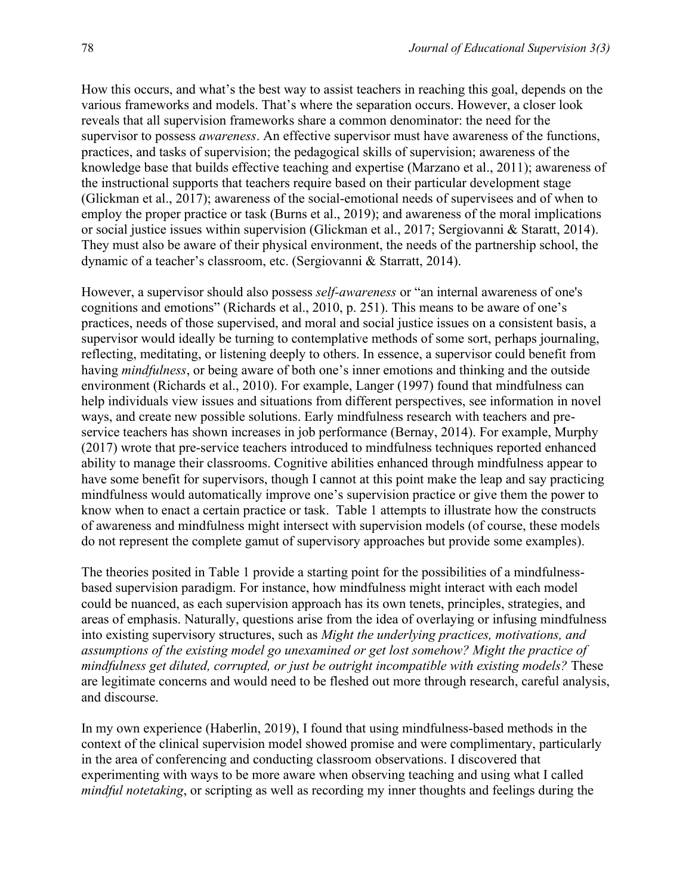How this occurs, and what's the best way to assist teachers in reaching this goal, depends on the various frameworks and models. That's where the separation occurs. However, a closer look reveals that all supervision frameworks share a common denominator: the need for the supervisor to possess *awareness*. An effective supervisor must have awareness of the functions, practices, and tasks of supervision; the pedagogical skills of supervision; awareness of the knowledge base that builds effective teaching and expertise (Marzano et al., 2011); awareness of the instructional supports that teachers require based on their particular development stage (Glickman et al., 2017); awareness of the social-emotional needs of supervisees and of when to employ the proper practice or task (Burns et al., 2019); and awareness of the moral implications or social justice issues within supervision (Glickman et al., 2017; Sergiovanni & Staratt, 2014). They must also be aware of their physical environment, the needs of the partnership school, the dynamic of a teacher's classroom, etc. (Sergiovanni & Starratt, 2014).

However, a supervisor should also possess *self-awareness* or "an internal awareness of one's cognitions and emotions" (Richards et al., 2010, p. 251). This means to be aware of one's practices, needs of those supervised, and moral and social justice issues on a consistent basis, a supervisor would ideally be turning to contemplative methods of some sort, perhaps journaling, reflecting, meditating, or listening deeply to others. In essence, a supervisor could benefit from having *mindfulness*, or being aware of both one's inner emotions and thinking and the outside environment (Richards et al., 2010). For example, Langer (1997) found that mindfulness can help individuals view issues and situations from different perspectives, see information in novel ways, and create new possible solutions. Early mindfulness research with teachers and preservice teachers has shown increases in job performance (Bernay, 2014). For example, Murphy (2017) wrote that pre-service teachers introduced to mindfulness techniques reported enhanced ability to manage their classrooms. Cognitive abilities enhanced through mindfulness appear to have some benefit for supervisors, though I cannot at this point make the leap and say practicing mindfulness would automatically improve one's supervision practice or give them the power to know when to enact a certain practice or task. Table 1 attempts to illustrate how the constructs of awareness and mindfulness might intersect with supervision models (of course, these models do not represent the complete gamut of supervisory approaches but provide some examples).

The theories posited in Table 1 provide a starting point for the possibilities of a mindfulnessbased supervision paradigm. For instance, how mindfulness might interact with each model could be nuanced, as each supervision approach has its own tenets, principles, strategies, and areas of emphasis. Naturally, questions arise from the idea of overlaying or infusing mindfulness into existing supervisory structures, such as *Might the underlying practices, motivations, and assumptions of the existing model go unexamined or get lost somehow? Might the practice of mindfulness get diluted, corrupted, or just be outright incompatible with existing models?* These are legitimate concerns and would need to be fleshed out more through research, careful analysis, and discourse.

In my own experience (Haberlin, 2019), I found that using mindfulness-based methods in the context of the clinical supervision model showed promise and were complimentary, particularly in the area of conferencing and conducting classroom observations. I discovered that experimenting with ways to be more aware when observing teaching and using what I called *mindful notetaking*, or scripting as well as recording my inner thoughts and feelings during the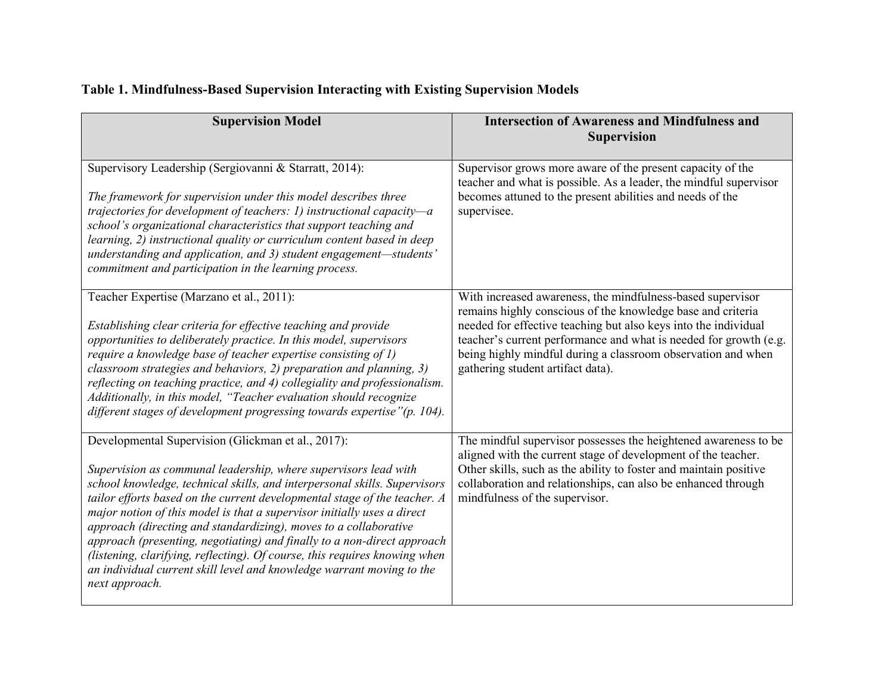| Table 1. Mindfulness-Based Supervision Interacting with Existing Supervision Models |  |  |
|-------------------------------------------------------------------------------------|--|--|
|                                                                                     |  |  |

| <b>Supervision Model</b>                                                                                                                                                                                                                                                                                                                                                                                                                                                                                                                                                                                                                                                           | <b>Intersection of Awareness and Mindfulness and</b><br><b>Supervision</b>                                                                                                                                                                                                                                                                                             |
|------------------------------------------------------------------------------------------------------------------------------------------------------------------------------------------------------------------------------------------------------------------------------------------------------------------------------------------------------------------------------------------------------------------------------------------------------------------------------------------------------------------------------------------------------------------------------------------------------------------------------------------------------------------------------------|------------------------------------------------------------------------------------------------------------------------------------------------------------------------------------------------------------------------------------------------------------------------------------------------------------------------------------------------------------------------|
| Supervisory Leadership (Sergiovanni & Starratt, 2014):<br>The framework for supervision under this model describes three<br>trajectories for development of teachers: 1) instructional capacity-a<br>school's organizational characteristics that support teaching and<br>learning, 2) instructional quality or curriculum content based in deep<br>understanding and application, and 3) student engagement-students'<br>commitment and participation in the learning process.                                                                                                                                                                                                    | Supervisor grows more aware of the present capacity of the<br>teacher and what is possible. As a leader, the mindful supervisor<br>becomes attuned to the present abilities and needs of the<br>supervisee.                                                                                                                                                            |
| Teacher Expertise (Marzano et al., 2011):<br>Establishing clear criteria for effective teaching and provide<br>opportunities to deliberately practice. In this model, supervisors<br>require a knowledge base of teacher expertise consisting of 1)<br>classroom strategies and behaviors, 2) preparation and planning, 3)<br>reflecting on teaching practice, and 4) collegiality and professionalism.<br>Additionally, in this model, "Teacher evaluation should recognize<br>different stages of development progressing towards expertise"(p. 104).                                                                                                                            | With increased awareness, the mindfulness-based supervisor<br>remains highly conscious of the knowledge base and criteria<br>needed for effective teaching but also keys into the individual<br>teacher's current performance and what is needed for growth (e.g.<br>being highly mindful during a classroom observation and when<br>gathering student artifact data). |
| Developmental Supervision (Glickman et al., 2017):<br>Supervision as communal leadership, where supervisors lead with<br>school knowledge, technical skills, and interpersonal skills. Supervisors<br>tailor efforts based on the current developmental stage of the teacher. A<br>major notion of this model is that a supervisor initially uses a direct<br>approach (directing and standardizing), moves to a collaborative<br>approach (presenting, negotiating) and finally to a non-direct approach<br>(listening, clarifying, reflecting). Of course, this requires knowing when<br>an individual current skill level and knowledge warrant moving to the<br>next approach. | The mindful supervisor possesses the heightened awareness to be<br>aligned with the current stage of development of the teacher.<br>Other skills, such as the ability to foster and maintain positive<br>collaboration and relationships, can also be enhanced through<br>mindfulness of the supervisor.                                                               |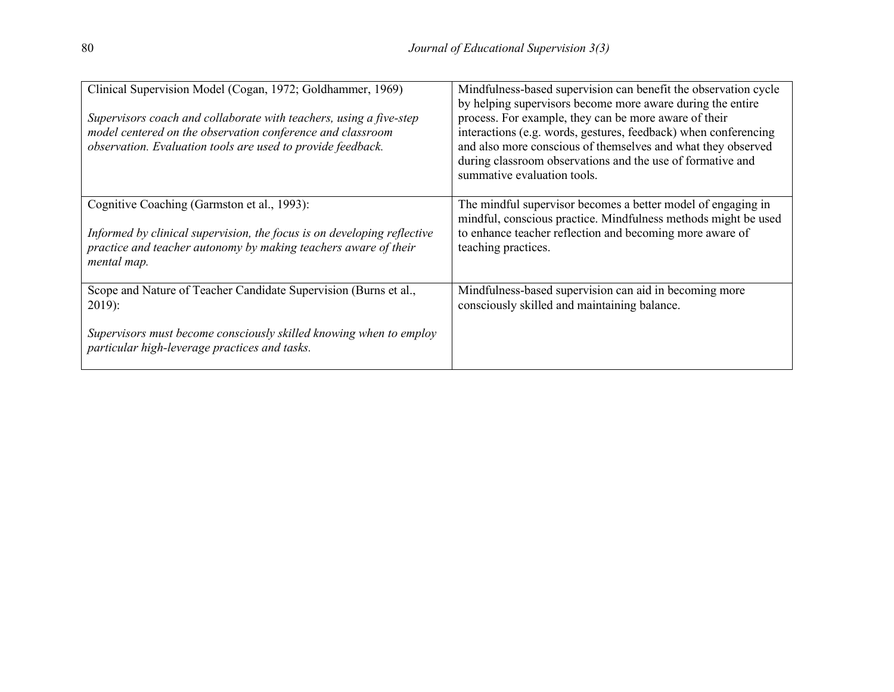| Clinical Supervision Model (Cogan, 1972; Goldhammer, 1969)<br>Supervisors coach and collaborate with teachers, using a five-step<br>model centered on the observation conference and classroom<br>observation. Evaluation tools are used to provide feedback. | Mindfulness-based supervision can benefit the observation cycle<br>by helping supervisors become more aware during the entire<br>process. For example, they can be more aware of their<br>interactions (e.g. words, gestures, feedback) when conferencing<br>and also more conscious of themselves and what they observed<br>during classroom observations and the use of formative and<br>summative evaluation tools. |
|---------------------------------------------------------------------------------------------------------------------------------------------------------------------------------------------------------------------------------------------------------------|------------------------------------------------------------------------------------------------------------------------------------------------------------------------------------------------------------------------------------------------------------------------------------------------------------------------------------------------------------------------------------------------------------------------|
| Cognitive Coaching (Garmston et al., 1993):<br>Informed by clinical supervision, the focus is on developing reflective<br>practice and teacher autonomy by making teachers aware of their<br>mental map.                                                      | The mindful supervisor becomes a better model of engaging in<br>mindful, conscious practice. Mindfulness methods might be used<br>to enhance teacher reflection and becoming more aware of<br>teaching practices.                                                                                                                                                                                                      |
| Scope and Nature of Teacher Candidate Supervision (Burns et al.,<br>$2019$ :<br>Supervisors must become consciously skilled knowing when to employ<br>particular high-leverage practices and tasks.                                                           | Mindfulness-based supervision can aid in becoming more<br>consciously skilled and maintaining balance.                                                                                                                                                                                                                                                                                                                 |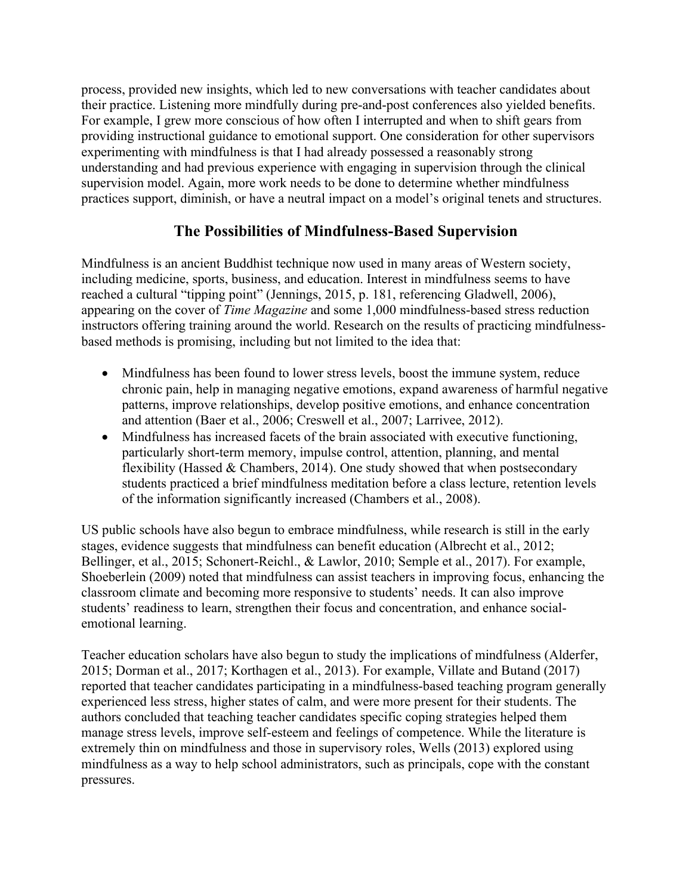process, provided new insights, which led to new conversations with teacher candidates about their practice. Listening more mindfully during pre-and-post conferences also yielded benefits. For example, I grew more conscious of how often I interrupted and when to shift gears from providing instructional guidance to emotional support. One consideration for other supervisors experimenting with mindfulness is that I had already possessed a reasonably strong understanding and had previous experience with engaging in supervision through the clinical supervision model. Again, more work needs to be done to determine whether mindfulness practices support, diminish, or have a neutral impact on a model's original tenets and structures.

# **The Possibilities of Mindfulness-Based Supervision**

Mindfulness is an ancient Buddhist technique now used in many areas of Western society, including medicine, sports, business, and education. Interest in mindfulness seems to have reached a cultural "tipping point" (Jennings, 2015, p. 181, referencing Gladwell, 2006), appearing on the cover of *Time Magazine* and some 1,000 mindfulness-based stress reduction instructors offering training around the world. Research on the results of practicing mindfulnessbased methods is promising, including but not limited to the idea that:

- Mindfulness has been found to lower stress levels, boost the immune system, reduce chronic pain, help in managing negative emotions, expand awareness of harmful negative patterns, improve relationships, develop positive emotions, and enhance concentration and attention (Baer et al., 2006; Creswell et al., 2007; Larrivee, 2012).
- Mindfulness has increased facets of the brain associated with executive functioning, particularly short-term memory, impulse control, attention, planning, and mental flexibility (Hassed  $&$  Chambers, 2014). One study showed that when postsecondary students practiced a brief mindfulness meditation before a class lecture, retention levels of the information significantly increased (Chambers et al., 2008).

US public schools have also begun to embrace mindfulness, while research is still in the early stages, evidence suggests that mindfulness can benefit education (Albrecht et al., 2012; Bellinger, et al., 2015; Schonert-Reichl., & Lawlor, 2010; Semple et al., 2017). For example, Shoeberlein (2009) noted that mindfulness can assist teachers in improving focus, enhancing the classroom climate and becoming more responsive to students' needs. It can also improve students' readiness to learn, strengthen their focus and concentration, and enhance socialemotional learning.

Teacher education scholars have also begun to study the implications of mindfulness (Alderfer, 2015; Dorman et al., 2017; Korthagen et al., 2013). For example, Villate and Butand (2017) reported that teacher candidates participating in a mindfulness-based teaching program generally experienced less stress, higher states of calm, and were more present for their students. The authors concluded that teaching teacher candidates specific coping strategies helped them manage stress levels, improve self-esteem and feelings of competence. While the literature is extremely thin on mindfulness and those in supervisory roles, Wells (2013) explored using mindfulness as a way to help school administrators, such as principals, cope with the constant pressures.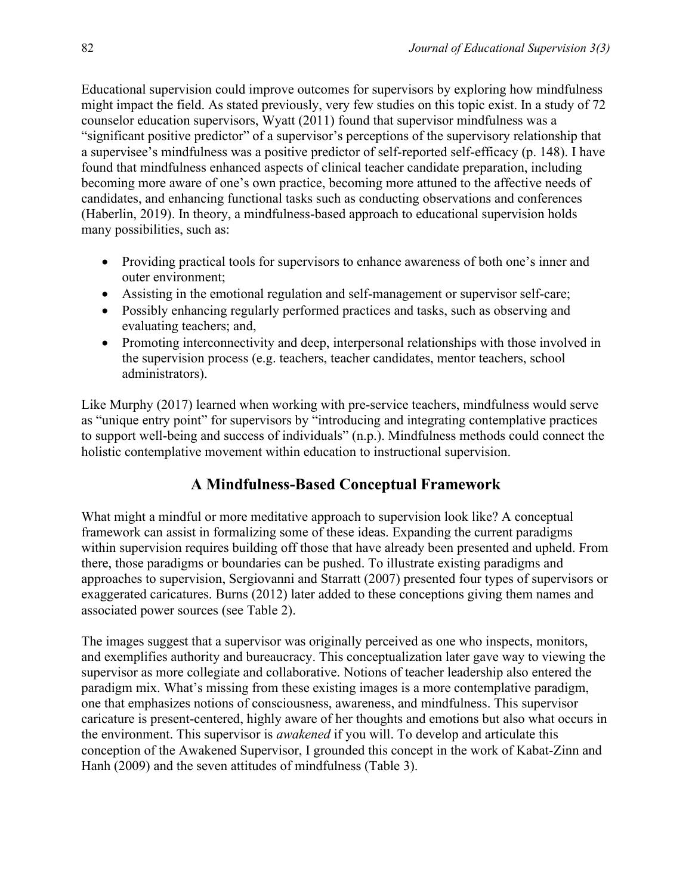Educational supervision could improve outcomes for supervisors by exploring how mindfulness might impact the field. As stated previously, very few studies on this topic exist. In a study of 72 counselor education supervisors, Wyatt (2011) found that supervisor mindfulness was a "significant positive predictor" of a supervisor's perceptions of the supervisory relationship that a supervisee's mindfulness was a positive predictor of self-reported self-efficacy (p. 148). I have found that mindfulness enhanced aspects of clinical teacher candidate preparation, including becoming more aware of one's own practice, becoming more attuned to the affective needs of candidates, and enhancing functional tasks such as conducting observations and conferences (Haberlin, 2019). In theory, a mindfulness-based approach to educational supervision holds many possibilities, such as:

- Providing practical tools for supervisors to enhance awareness of both one's inner and outer environment;
- Assisting in the emotional regulation and self-management or supervisor self-care;
- Possibly enhancing regularly performed practices and tasks, such as observing and evaluating teachers; and,
- Promoting interconnectivity and deep, interpersonal relationships with those involved in the supervision process (e.g. teachers, teacher candidates, mentor teachers, school administrators).

Like Murphy (2017) learned when working with pre-service teachers, mindfulness would serve as "unique entry point" for supervisors by "introducing and integrating contemplative practices to support well-being and success of individuals" (n.p.). Mindfulness methods could connect the holistic contemplative movement within education to instructional supervision.

# **A Mindfulness-Based Conceptual Framework**

What might a mindful or more meditative approach to supervision look like? A conceptual framework can assist in formalizing some of these ideas. Expanding the current paradigms within supervision requires building off those that have already been presented and upheld. From there, those paradigms or boundaries can be pushed. To illustrate existing paradigms and approaches to supervision, Sergiovanni and Starratt (2007) presented four types of supervisors or exaggerated caricatures. Burns (2012) later added to these conceptions giving them names and associated power sources (see Table 2).

The images suggest that a supervisor was originally perceived as one who inspects, monitors, and exemplifies authority and bureaucracy. This conceptualization later gave way to viewing the supervisor as more collegiate and collaborative. Notions of teacher leadership also entered the paradigm mix. What's missing from these existing images is a more contemplative paradigm, one that emphasizes notions of consciousness, awareness, and mindfulness. This supervisor caricature is present-centered, highly aware of her thoughts and emotions but also what occurs in the environment. This supervisor is *awakened* if you will. To develop and articulate this conception of the Awakened Supervisor, I grounded this concept in the work of Kabat-Zinn and Hanh (2009) and the seven attitudes of mindfulness (Table 3).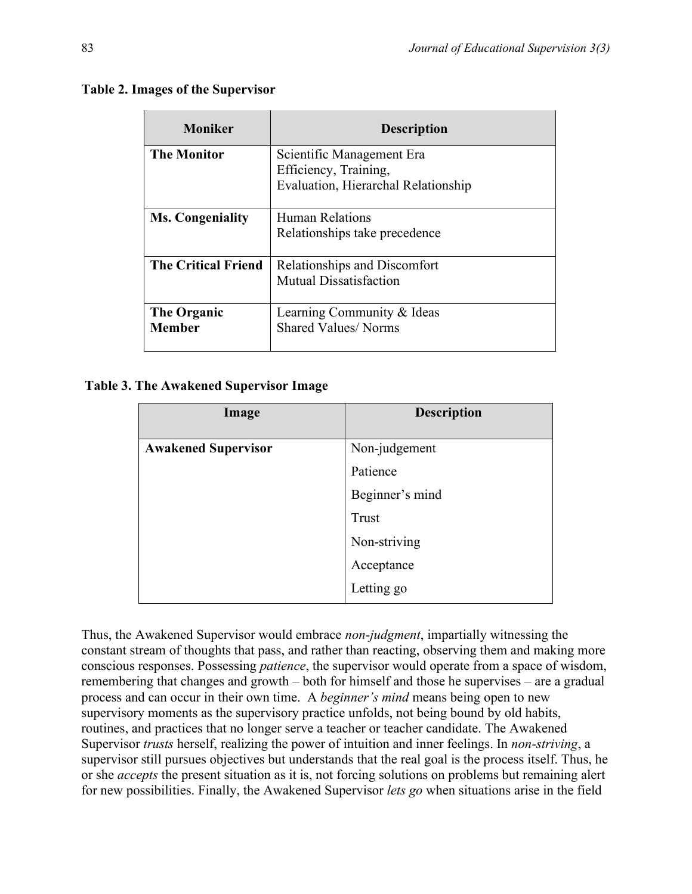| <b>Moniker</b>             | <b>Description</b>                  |
|----------------------------|-------------------------------------|
| <b>The Monitor</b>         | Scientific Management Era           |
|                            | Efficiency, Training,               |
|                            | Evaluation, Hierarchal Relationship |
| <b>Ms. Congeniality</b>    | <b>Human Relations</b>              |
|                            | Relationships take precedence       |
| <b>The Critical Friend</b> | Relationships and Discomfort        |
|                            | <b>Mutual Dissatisfaction</b>       |
| The Organic                | Learning Community & Ideas          |
| <b>Member</b>              | <b>Shared Values/Norms</b>          |
|                            |                                     |

**Table 3. The Awakened Supervisor Image**

| Image                      | <b>Description</b> |
|----------------------------|--------------------|
| <b>Awakened Supervisor</b> | Non-judgement      |
|                            | Patience           |
|                            | Beginner's mind    |
|                            | Trust              |
|                            | Non-striving       |
|                            | Acceptance         |
|                            | Letting go         |

Thus, the Awakened Supervisor would embrace *non-judgment*, impartially witnessing the constant stream of thoughts that pass, and rather than reacting, observing them and making more conscious responses. Possessing *patience*, the supervisor would operate from a space of wisdom, remembering that changes and growth – both for himself and those he supervises – are a gradual process and can occur in their own time. A *beginner's mind* means being open to new supervisory moments as the supervisory practice unfolds, not being bound by old habits, routines, and practices that no longer serve a teacher or teacher candidate. The Awakened Supervisor *trusts* herself, realizing the power of intuition and inner feelings. In *non-striving*, a supervisor still pursues objectives but understands that the real goal is the process itself. Thus, he or she *accepts* the present situation as it is, not forcing solutions on problems but remaining alert for new possibilities. Finally, the Awakened Supervisor *lets go* when situations arise in the field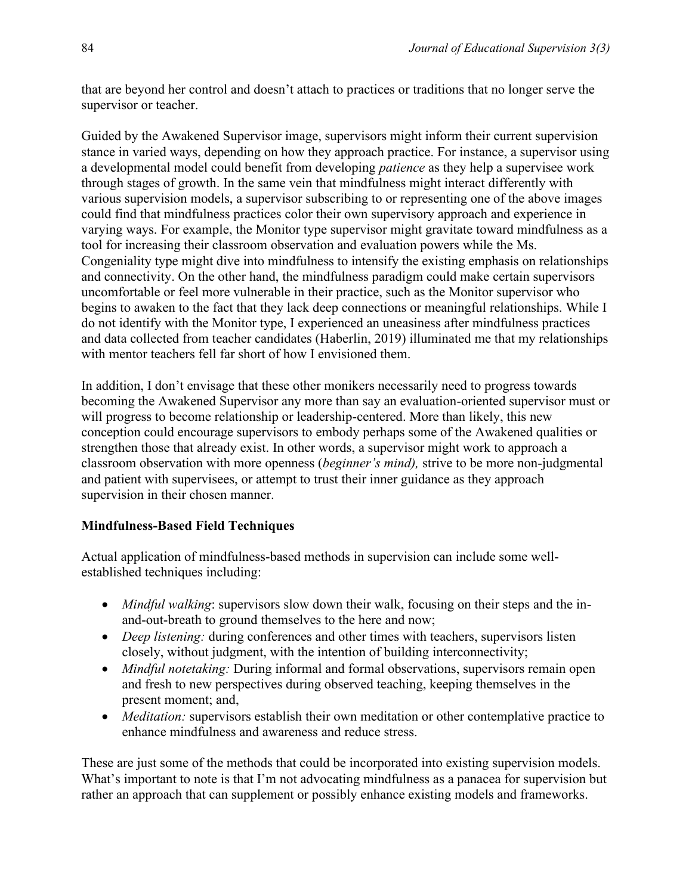that are beyond her control and doesn't attach to practices or traditions that no longer serve the supervisor or teacher.

Guided by the Awakened Supervisor image, supervisors might inform their current supervision stance in varied ways, depending on how they approach practice. For instance, a supervisor using a developmental model could benefit from developing *patience* as they help a supervisee work through stages of growth. In the same vein that mindfulness might interact differently with various supervision models, a supervisor subscribing to or representing one of the above images could find that mindfulness practices color their own supervisory approach and experience in varying ways. For example, the Monitor type supervisor might gravitate toward mindfulness as a tool for increasing their classroom observation and evaluation powers while the Ms. Congeniality type might dive into mindfulness to intensify the existing emphasis on relationships and connectivity. On the other hand, the mindfulness paradigm could make certain supervisors uncomfortable or feel more vulnerable in their practice, such as the Monitor supervisor who begins to awaken to the fact that they lack deep connections or meaningful relationships. While I do not identify with the Monitor type, I experienced an uneasiness after mindfulness practices and data collected from teacher candidates (Haberlin, 2019) illuminated me that my relationships with mentor teachers fell far short of how I envisioned them.

In addition, I don't envisage that these other monikers necessarily need to progress towards becoming the Awakened Supervisor any more than say an evaluation-oriented supervisor must or will progress to become relationship or leadership-centered. More than likely, this new conception could encourage supervisors to embody perhaps some of the Awakened qualities or strengthen those that already exist. In other words, a supervisor might work to approach a classroom observation with more openness (*beginner's mind),* strive to be more non-judgmental and patient with supervisees, or attempt to trust their inner guidance as they approach supervision in their chosen manner.

## **Mindfulness-Based Field Techniques**

Actual application of mindfulness-based methods in supervision can include some wellestablished techniques including:

- *Mindful walking*: supervisors slow down their walk, focusing on their steps and the inand-out-breath to ground themselves to the here and now;
- *Deep listening:* during conferences and other times with teachers, supervisors listen closely, without judgment, with the intention of building interconnectivity;
- *Mindful notetaking:* During informal and formal observations, supervisors remain open and fresh to new perspectives during observed teaching, keeping themselves in the present moment; and,
- *Meditation:* supervisors establish their own meditation or other contemplative practice to enhance mindfulness and awareness and reduce stress.

These are just some of the methods that could be incorporated into existing supervision models. What's important to note is that I'm not advocating mindfulness as a panacea for supervision but rather an approach that can supplement or possibly enhance existing models and frameworks.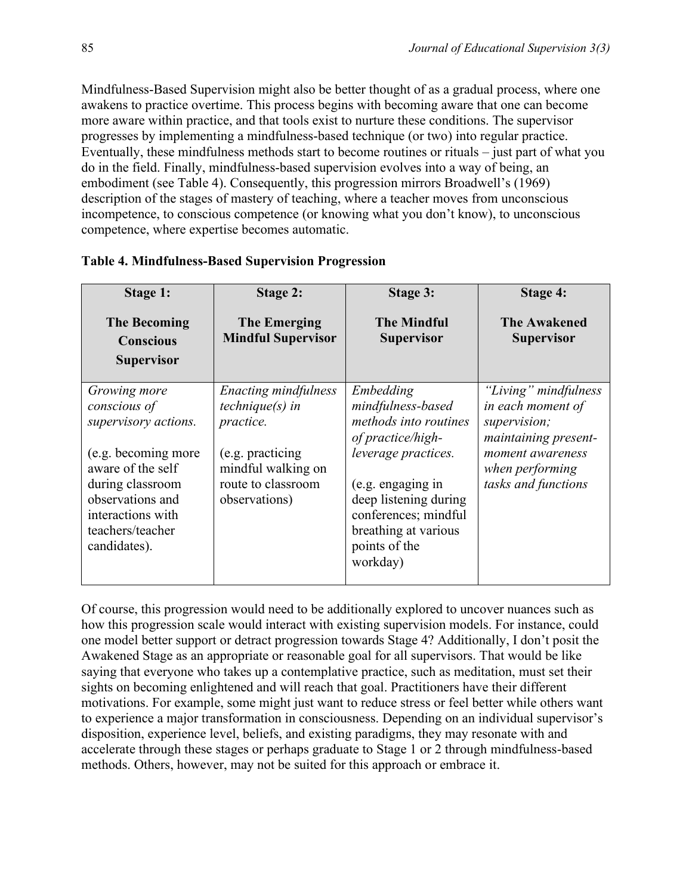Mindfulness-Based Supervision might also be better thought of as a gradual process, where one awakens to practice overtime. This process begins with becoming aware that one can become more aware within practice, and that tools exist to nurture these conditions. The supervisor progresses by implementing a mindfulness-based technique (or two) into regular practice. Eventually, these mindfulness methods start to become routines or rituals – just part of what you do in the field. Finally, mindfulness-based supervision evolves into a way of being, an embodiment (see Table 4). Consequently, this progression mirrors Broadwell's (1969) description of the stages of mastery of teaching, where a teacher moves from unconscious incompetence, to conscious competence (or knowing what you don't know), to unconscious competence, where expertise becomes automatic.

| <b>Stage 1:</b><br><b>The Becoming</b><br><b>Conscious</b><br><b>Supervisor</b>                                                           | <b>Stage 2:</b><br><b>The Emerging</b><br><b>Mindful Supervisor</b>            | Stage 3:<br><b>The Mindful</b><br><b>Supervisor</b>                                                                                              | Stage 4:<br><b>The Awakened</b><br><b>Supervisor</b>                              |
|-------------------------------------------------------------------------------------------------------------------------------------------|--------------------------------------------------------------------------------|--------------------------------------------------------------------------------------------------------------------------------------------------|-----------------------------------------------------------------------------------|
| Growing more<br>conscious of<br>supervisory actions.                                                                                      | Enacting mindfulness<br>$technique(s)$ in<br>practice.                         | Embedding<br>mindfulness-based<br>methods into routines<br>of practice/high-                                                                     | "Living" mindfulness<br>in each moment of<br>supervision;<br>maintaining present- |
| (e.g. becoming more<br>aware of the self<br>during classroom<br>observations and<br>interactions with<br>teachers/teacher<br>candidates). | (e.g. practicing)<br>mindful walking on<br>route to classroom<br>observations) | leverage practices.<br>$(e.g.$ engaging in<br>deep listening during<br>conferences; mindful<br>breathing at various<br>points of the<br>workday) | moment awareness<br>when performing<br>tasks and functions                        |

|  | <b>Table 4. Mindfulness-Based Supervision Progression</b> |  |
|--|-----------------------------------------------------------|--|
|  |                                                           |  |

Of course, this progression would need to be additionally explored to uncover nuances such as how this progression scale would interact with existing supervision models. For instance, could one model better support or detract progression towards Stage 4? Additionally, I don't posit the Awakened Stage as an appropriate or reasonable goal for all supervisors. That would be like saying that everyone who takes up a contemplative practice, such as meditation, must set their sights on becoming enlightened and will reach that goal. Practitioners have their different motivations. For example, some might just want to reduce stress or feel better while others want to experience a major transformation in consciousness. Depending on an individual supervisor's disposition, experience level, beliefs, and existing paradigms, they may resonate with and accelerate through these stages or perhaps graduate to Stage 1 or 2 through mindfulness-based methods. Others, however, may not be suited for this approach or embrace it.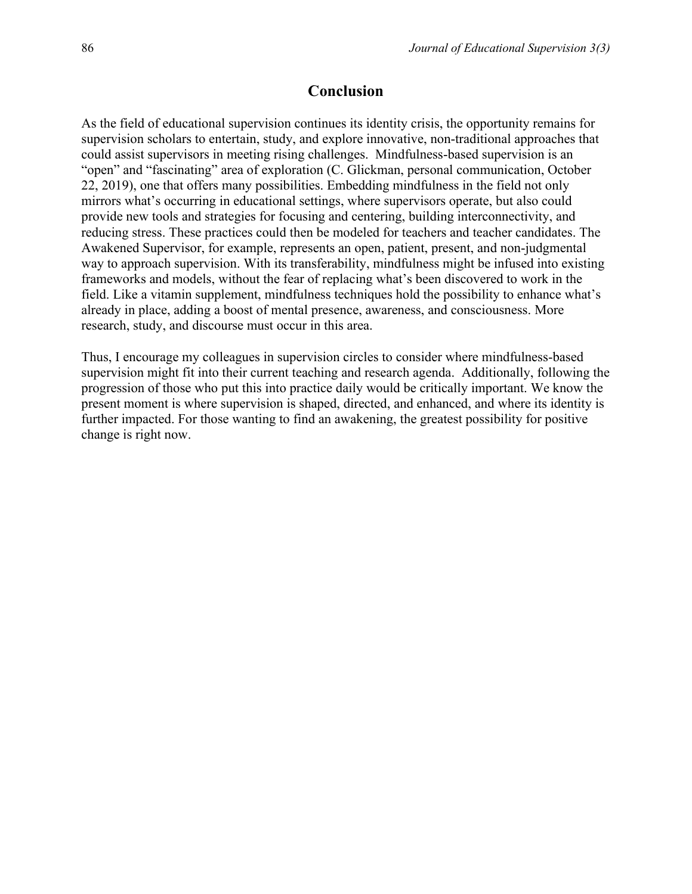#### **Conclusion**

As the field of educational supervision continues its identity crisis, the opportunity remains for supervision scholars to entertain, study, and explore innovative, non-traditional approaches that could assist supervisors in meeting rising challenges. Mindfulness-based supervision is an "open" and "fascinating" area of exploration (C. Glickman, personal communication, October 22, 2019), one that offers many possibilities. Embedding mindfulness in the field not only mirrors what's occurring in educational settings, where supervisors operate, but also could provide new tools and strategies for focusing and centering, building interconnectivity, and reducing stress. These practices could then be modeled for teachers and teacher candidates. The Awakened Supervisor, for example, represents an open, patient, present, and non-judgmental way to approach supervision. With its transferability, mindfulness might be infused into existing frameworks and models, without the fear of replacing what's been discovered to work in the field. Like a vitamin supplement, mindfulness techniques hold the possibility to enhance what's already in place, adding a boost of mental presence, awareness, and consciousness. More research, study, and discourse must occur in this area.

Thus, I encourage my colleagues in supervision circles to consider where mindfulness-based supervision might fit into their current teaching and research agenda. Additionally, following the progression of those who put this into practice daily would be critically important. We know the present moment is where supervision is shaped, directed, and enhanced, and where its identity is further impacted. For those wanting to find an awakening, the greatest possibility for positive change is right now.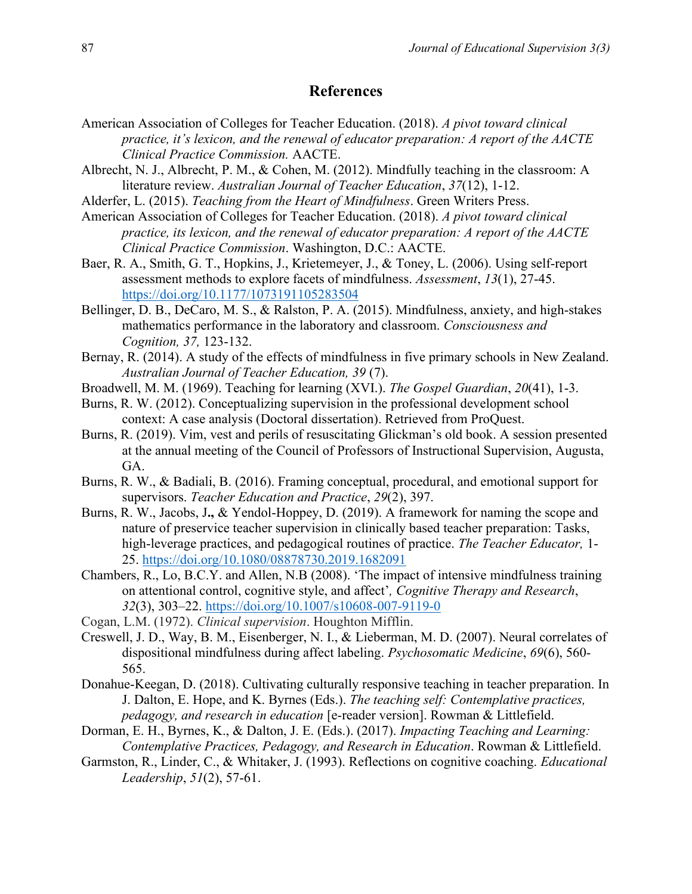## **References**

- American Association of Colleges for Teacher Education. (2018). *A pivot toward clinical practice, it's lexicon, and the renewal of educator preparation: A report of the AACTE Clinical Practice Commission.* AACTE.
- Albrecht, N. J., Albrecht, P. M., & Cohen, M. (2012). Mindfully teaching in the classroom: A literature review. *Australian Journal of Teacher Education*, *37*(12), 1-12.
- Alderfer, L. (2015). *Teaching from the Heart of Mindfulness*. Green Writers Press.
- American Association of Colleges for Teacher Education. (2018). *A pivot toward clinical practice, its lexicon, and the renewal of educator preparation: A report of the AACTE Clinical Practice Commission*. Washington, D.C.: AACTE.
- Baer, R. A., Smith, G. T., Hopkins, J., Krietemeyer, J., & Toney, L. (2006). Using self-report assessment methods to explore facets of mindfulness. *Assessment*, *13*(1), 27-45. <https://doi.org/10.1177/1073191105283504>
- Bellinger, D. B., DeCaro, M. S., & Ralston, P. A. (2015). Mindfulness, anxiety, and high-stakes mathematics performance in the laboratory and classroom. *Consciousness and Cognition, 37,* 123-132.
- Bernay, R. (2014). A study of the effects of mindfulness in five primary schools in New Zealand. *Australian Journal of Teacher Education, 39* (7).
- Broadwell, M. M. (1969). Teaching for learning (XVI.). *The Gospel Guardian*, *20*(41), 1-3.
- Burns, R. W. (2012). Conceptualizing supervision in the professional development school context: A case analysis (Doctoral dissertation). Retrieved from ProQuest.
- Burns, R. (2019). Vim, vest and perils of resuscitating Glickman's old book. A session presented at the annual meeting of the Council of Professors of Instructional Supervision, Augusta, GA.
- Burns, R. W., & Badiali, B. (2016). Framing conceptual, procedural, and emotional support for supervisors. *Teacher Education and Practice*, *29*(2), 397.
- Burns, R. W., Jacobs, J**.,** & Yendol-Hoppey, D. (2019). A framework for naming the scope and nature of preservice teacher supervision in clinically based teacher preparation: Tasks, high-leverage practices, and pedagogical routines of practice. *The Teacher Educator,* 1- 25.<https://doi.org/10.1080/08878730.2019.1682091>
- Chambers, R., Lo, B.C.Y. and Allen, N.B (2008). 'The impact of intensive mindfulness training on attentional control, cognitive style, and affect'*, Cognitive Therapy and Research*, *32*(3), 303–22. <https://doi.org/10.1007/s10608-007-9119-0>
- Cogan, L.M. (1972). *Clinical supervision*. Houghton Mifflin.
- Creswell, J. D., Way, B. M., Eisenberger, N. I., & Lieberman, M. D. (2007). Neural correlates of dispositional mindfulness during affect labeling. *Psychosomatic Medicine*, *69*(6), 560- 565.
- Donahue-Keegan, D. (2018). Cultivating culturally responsive teaching in teacher preparation. In J. Dalton, E. Hope, and K. Byrnes (Eds.). *The teaching self: Contemplative practices, pedagogy, and research in education* [e-reader version]. Rowman & Littlefield.
- Dorman, E. H., Byrnes, K., & Dalton, J. E. (Eds.). (2017). *Impacting Teaching and Learning: Contemplative Practices, Pedagogy, and Research in Education*. Rowman & Littlefield.
- Garmston, R., Linder, C., & Whitaker, J. (1993). Reflections on cognitive coaching. *Educational Leadership*, *51*(2), 57-61.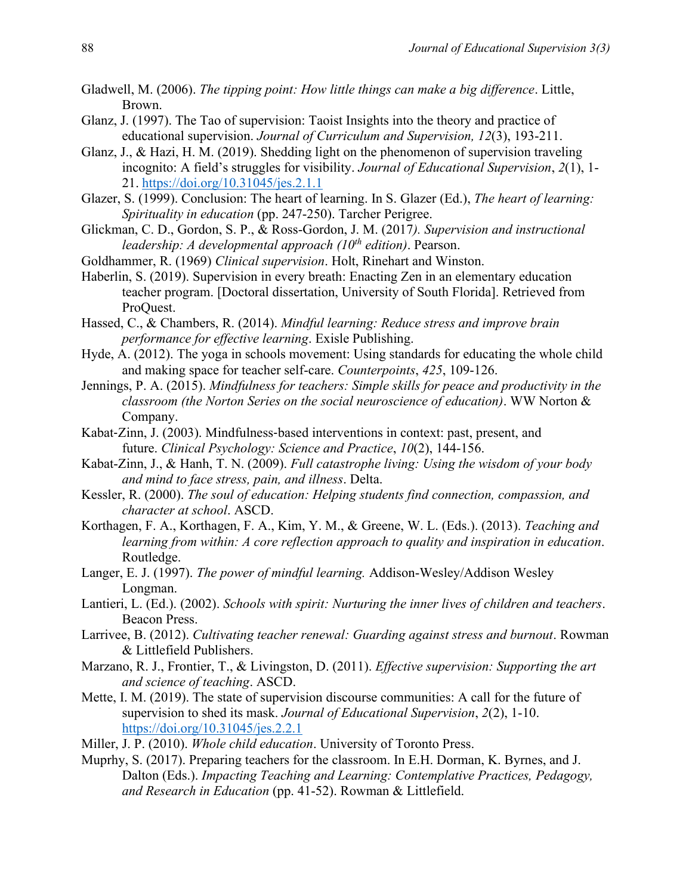- Gladwell, M. (2006). *The tipping point: How little things can make a big difference*. Little, Brown.
- Glanz, J. (1997). The Tao of supervision: Taoist Insights into the theory and practice of educational supervision. *Journal of Curriculum and Supervision, 12*(3), 193-211.
- Glanz, J., & Hazi, H. M. (2019). Shedding light on the phenomenon of supervision traveling incognito: A field's struggles for visibility. *Journal of Educational Supervision*, *2*(1), 1- 21. <https://doi.org/10.31045/jes.2.1.1>
- Glazer, S. (1999). Conclusion: The heart of learning. In S. Glazer (Ed.), *The heart of learning: Spirituality in education* (pp. 247-250). Tarcher Perigree.
- Glickman, C. D., Gordon, S. P., & Ross-Gordon, J. M. (2017*). Supervision and instructional leadership: A developmental approach (10th edition)*. Pearson.
- Goldhammer, R. (1969) *Clinical supervision*. Holt, Rinehart and Winston.
- Haberlin, S. (2019). Supervision in every breath: Enacting Zen in an elementary education teacher program. [Doctoral dissertation, University of South Florida]. Retrieved from ProQuest.
- Hassed, C., & Chambers, R. (2014). *Mindful learning: Reduce stress and improve brain performance for effective learning*. Exisle Publishing.
- Hyde, A. (2012). The yoga in schools movement: Using standards for educating the whole child and making space for teacher self-care. *Counterpoints*, *425*, 109-126.
- Jennings, P. A. (2015). *Mindfulness for teachers: Simple skills for peace and productivity in the classroom (the Norton Series on the social neuroscience of education)*. WW Norton & Company.
- Kabat-Zinn, J. (2003). Mindfulness-based interventions in context: past, present, and future. *Clinical Psychology: Science and Practice*, *10*(2), 144-156.
- Kabat-Zinn, J., & Hanh, T. N. (2009). *Full catastrophe living: Using the wisdom of your body and mind to face stress, pain, and illness*. Delta.
- Kessler, R. (2000). *The soul of education: Helping students find connection, compassion, and character at school*. ASCD.
- Korthagen, F. A., Korthagen, F. A., Kim, Y. M., & Greene, W. L. (Eds.). (2013). *Teaching and learning from within: A core reflection approach to quality and inspiration in education*. Routledge.
- Langer, E. J. (1997). *The power of mindful learning.* Addison-Wesley/Addison Wesley Longman.
- Lantieri, L. (Ed.). (2002). *Schools with spirit: Nurturing the inner lives of children and teachers*. Beacon Press.
- Larrivee, B. (2012). *Cultivating teacher renewal: Guarding against stress and burnout*. Rowman & Littlefield Publishers.
- Marzano, R. J., Frontier, T., & Livingston, D. (2011). *Effective supervision: Supporting the art and science of teaching*. ASCD.
- Mette, I. M. (2019). The state of supervision discourse communities: A call for the future of supervision to shed its mask. *Journal of Educational Supervision*, *2*(2), 1-10. <https://doi.org/10.31045/jes.2.2.1>
- Miller, J. P. (2010). *Whole child education*. University of Toronto Press.
- Muprhy, S. (2017). Preparing teachers for the classroom. In E.H. Dorman, K. Byrnes, and J. Dalton (Eds.). *Impacting Teaching and Learning: Contemplative Practices, Pedagogy, and Research in Education* (pp. 41-52). Rowman & Littlefield.